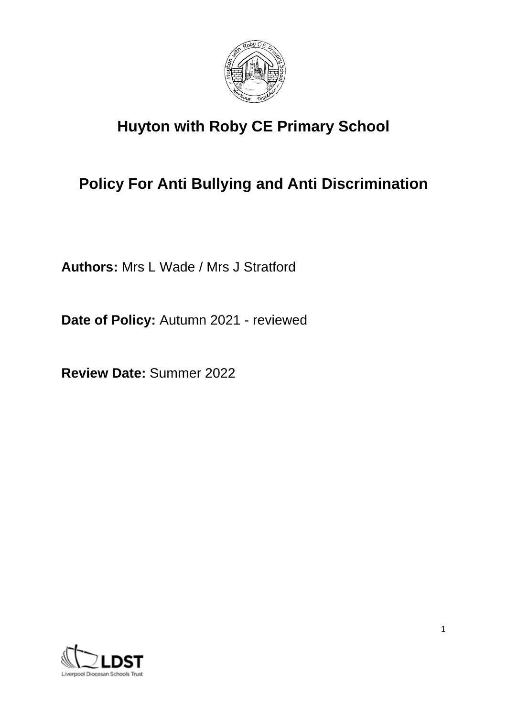

# **Huyton with Roby CE Primary School**

# **Policy For Anti Bullying and Anti Discrimination**

**Authors:** Mrs L Wade / Mrs J Stratford

**Date of Policy:** Autumn 2021 - reviewed

**Review Date:** Summer 2022

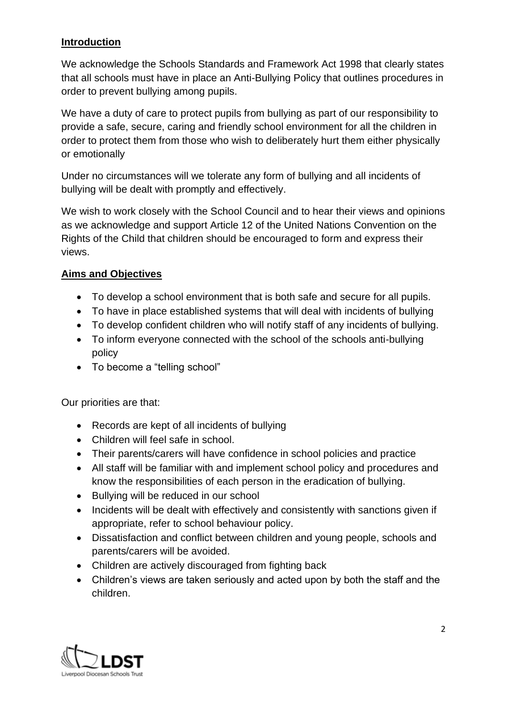## **Introduction**

We acknowledge the Schools Standards and Framework Act 1998 that clearly states that all schools must have in place an Anti-Bullying Policy that outlines procedures in order to prevent bullying among pupils.

We have a duty of care to protect pupils from bullying as part of our responsibility to provide a safe, secure, caring and friendly school environment for all the children in order to protect them from those who wish to deliberately hurt them either physically or emotionally

Under no circumstances will we tolerate any form of bullying and all incidents of bullying will be dealt with promptly and effectively.

We wish to work closely with the School Council and to hear their views and opinions as we acknowledge and support Article 12 of the United Nations Convention on the Rights of the Child that children should be encouraged to form and express their views.

## **Aims and Objectives**

- To develop a school environment that is both safe and secure for all pupils.
- To have in place established systems that will deal with incidents of bullying
- To develop confident children who will notify staff of any incidents of bullying.
- To inform everyone connected with the school of the schools anti-bullying policy
- To become a "telling school"

Our priorities are that:

- Records are kept of all incidents of bullying
- Children will feel safe in school.
- Their parents/carers will have confidence in school policies and practice
- All staff will be familiar with and implement school policy and procedures and know the responsibilities of each person in the eradication of bullying.
- Bullying will be reduced in our school
- Incidents will be dealt with effectively and consistently with sanctions given if appropriate, refer to school behaviour policy.
- Dissatisfaction and conflict between children and young people, schools and parents/carers will be avoided.
- Children are actively discouraged from fighting back
- Children's views are taken seriously and acted upon by both the staff and the children.

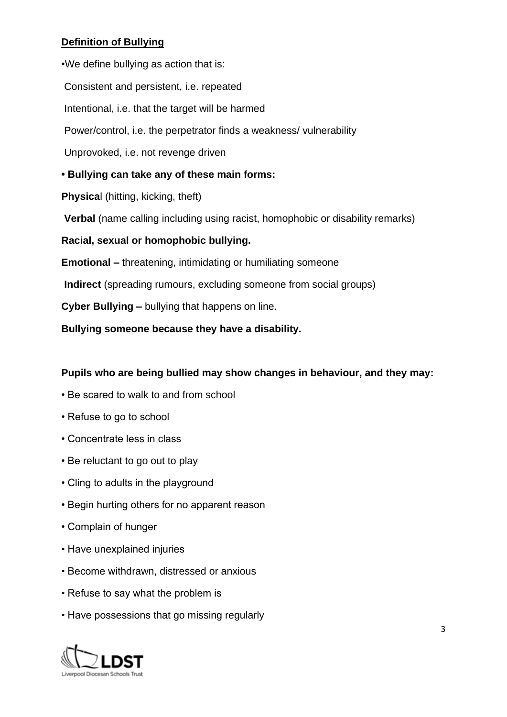# **Definition of Bullying**

•We define bullying as action that is: Consistent and persistent, i.e. repeated Intentional, i.e. that the target will be harmed Power/control, i.e. the perpetrator finds a weakness/ vulnerability Unprovoked, i.e. not revenge driven **• Bullying can take any of these main forms: Physica**l (hitting, kicking, theft) **Verbal** (name calling including using racist, homophobic or disability remarks) **Racial, sexual or homophobic bullying. Emotional –** threatening, intimidating or humiliating someone **Indirect** (spreading rumours, excluding someone from social groups) **Cyber Bullying –** bullying that happens on line. **Bullying someone because they have a disability.** 

#### **Pupils who are being bullied may show changes in behaviour, and they may:**

- Be scared to walk to and from school
- Refuse to go to school
- Concentrate less in class
- Be reluctant to go out to play
- Cling to adults in the playground
- Begin hurting others for no apparent reason
- Complain of hunger
- Have unexplained injuries
- Become withdrawn, distressed or anxious
- Refuse to say what the problem is
- Have possessions that go missing regularly

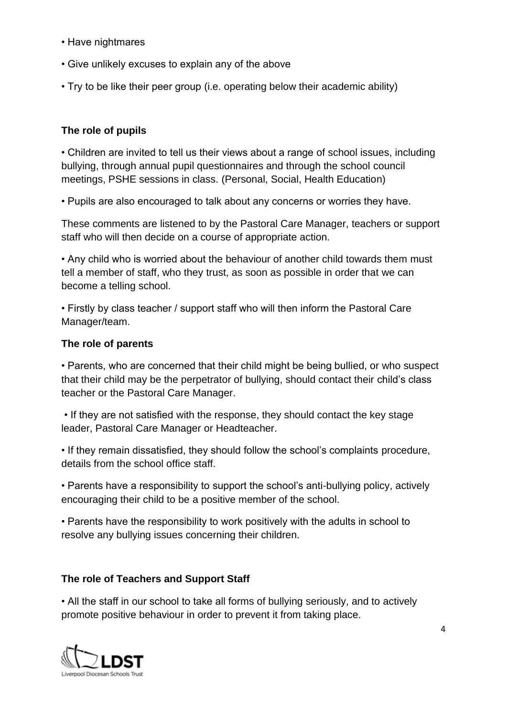- Have nightmares
- Give unlikely excuses to explain any of the above
- Try to be like their peer group (i.e. operating below their academic ability)

# **The role of pupils**

• Children are invited to tell us their views about a range of school issues, including bullying, through annual pupil questionnaires and through the school council meetings, PSHE sessions in class. (Personal, Social, Health Education)

• Pupils are also encouraged to talk about any concerns or worries they have.

These comments are listened to by the Pastoral Care Manager, teachers or support staff who will then decide on a course of appropriate action.

• Any child who is worried about the behaviour of another child towards them must tell a member of staff, who they trust, as soon as possible in order that we can become a telling school.

• Firstly by class teacher / support staff who will then inform the Pastoral Care Manager/team.

#### **The role of parents**

• Parents, who are concerned that their child might be being bullied, or who suspect that their child may be the perpetrator of bullying, should contact their child's class teacher or the Pastoral Care Manager.

• If they are not satisfied with the response, they should contact the key stage leader, Pastoral Care Manager or Headteacher.

• If they remain dissatisfied, they should follow the school's complaints procedure, details from the school office staff.

• Parents have a responsibility to support the school's anti-bullying policy, actively encouraging their child to be a positive member of the school.

• Parents have the responsibility to work positively with the adults in school to resolve any bullying issues concerning their children.

#### **The role of Teachers and Support Staff**

• All the staff in our school to take all forms of bullying seriously, and to actively promote positive behaviour in order to prevent it from taking place.

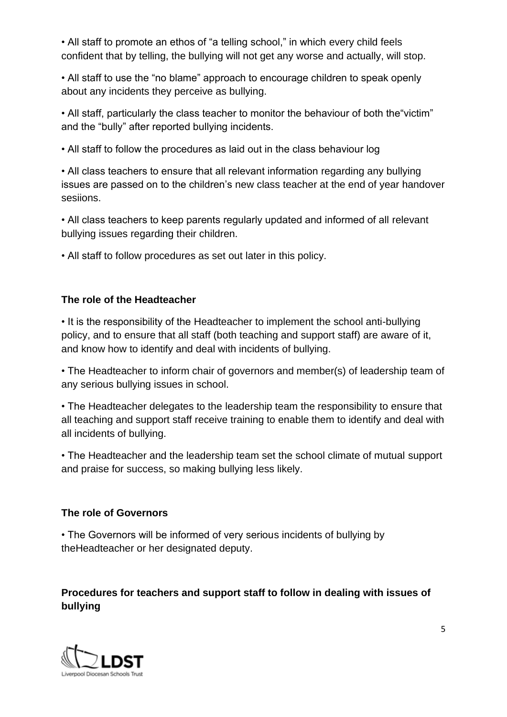• All staff to promote an ethos of "a telling school," in which every child feels confident that by telling, the bullying will not get any worse and actually, will stop.

• All staff to use the "no blame" approach to encourage children to speak openly about any incidents they perceive as bullying.

• All staff, particularly the class teacher to monitor the behaviour of both the"victim" and the "bully" after reported bullying incidents.

• All staff to follow the procedures as laid out in the class behaviour log

• All class teachers to ensure that all relevant information regarding any bullying issues are passed on to the children's new class teacher at the end of year handover sesiions.

• All class teachers to keep parents regularly updated and informed of all relevant bullying issues regarding their children.

• All staff to follow procedures as set out later in this policy.

## **The role of the Headteacher**

• It is the responsibility of the Headteacher to implement the school anti-bullying policy, and to ensure that all staff (both teaching and support staff) are aware of it, and know how to identify and deal with incidents of bullying.

• The Headteacher to inform chair of governors and member(s) of leadership team of any serious bullying issues in school.

• The Headteacher delegates to the leadership team the responsibility to ensure that all teaching and support staff receive training to enable them to identify and deal with all incidents of bullying.

• The Headteacher and the leadership team set the school climate of mutual support and praise for success, so making bullying less likely.

#### **The role of Governors**

• The Governors will be informed of very serious incidents of bullying by theHeadteacher or her designated deputy.

# **Procedures for teachers and support staff to follow in dealing with issues of bullying**

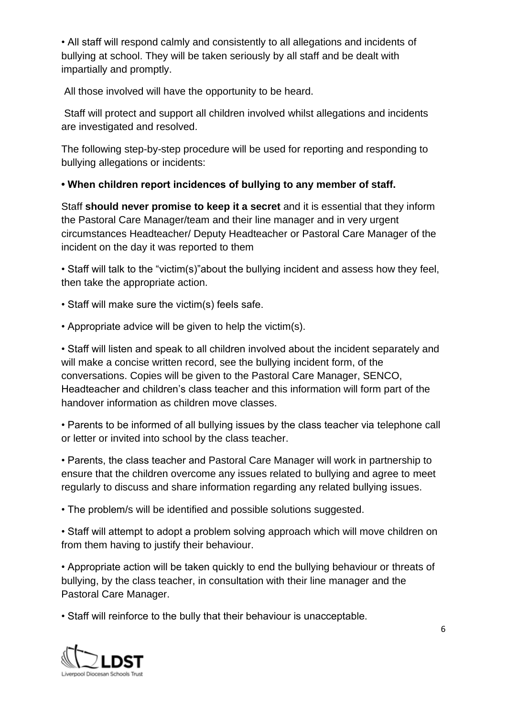• All staff will respond calmly and consistently to all allegations and incidents of bullying at school. They will be taken seriously by all staff and be dealt with impartially and promptly.

All those involved will have the opportunity to be heard.

Staff will protect and support all children involved whilst allegations and incidents are investigated and resolved.

The following step-by-step procedure will be used for reporting and responding to bullying allegations or incidents:

**• When children report incidences of bullying to any member of staff.**

Staff **should never promise to keep it a secret** and it is essential that they inform the Pastoral Care Manager/team and their line manager and in very urgent circumstances Headteacher/ Deputy Headteacher or Pastoral Care Manager of the incident on the day it was reported to them

• Staff will talk to the "victim(s)"about the bullying incident and assess how they feel, then take the appropriate action.

• Staff will make sure the victim(s) feels safe.

• Appropriate advice will be given to help the victim(s).

• Staff will listen and speak to all children involved about the incident separately and will make a concise written record, see the bullying incident form, of the conversations. Copies will be given to the Pastoral Care Manager, SENCO, Headteacher and children's class teacher and this information will form part of the handover information as children move classes.

• Parents to be informed of all bullying issues by the class teacher via telephone call or letter or invited into school by the class teacher.

• Parents, the class teacher and Pastoral Care Manager will work in partnership to ensure that the children overcome any issues related to bullying and agree to meet regularly to discuss and share information regarding any related bullying issues.

• The problem/s will be identified and possible solutions suggested.

• Staff will attempt to adopt a problem solving approach which will move children on from them having to justify their behaviour.

• Appropriate action will be taken quickly to end the bullying behaviour or threats of bullying, by the class teacher, in consultation with their line manager and the Pastoral Care Manager.

• Staff will reinforce to the bully that their behaviour is unacceptable.

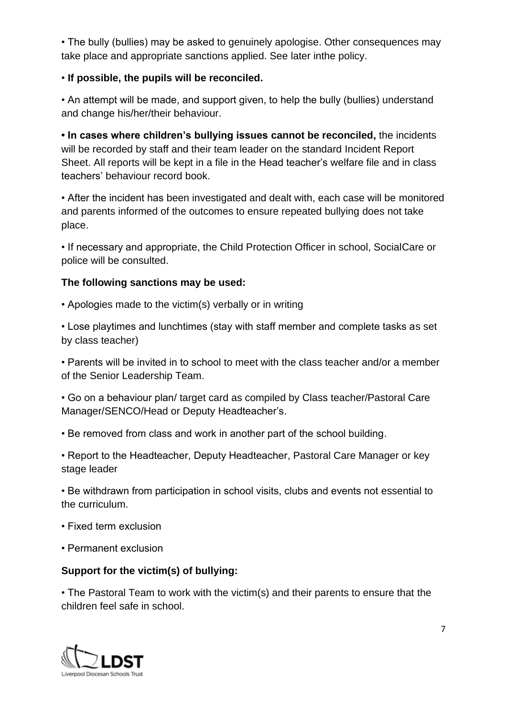• The bully (bullies) may be asked to genuinely apologise. Other consequences may take place and appropriate sanctions applied. See later inthe policy.

#### • **If possible, the pupils will be reconciled.**

• An attempt will be made, and support given, to help the bully (bullies) understand and change his/her/their behaviour.

**• In cases where children's bullying issues cannot be reconciled,** the incidents will be recorded by staff and their team leader on the standard Incident Report Sheet. All reports will be kept in a file in the Head teacher's welfare file and in class teachers' behaviour record book.

• After the incident has been investigated and dealt with, each case will be monitored and parents informed of the outcomes to ensure repeated bullying does not take place.

• If necessary and appropriate, the Child Protection Officer in school, SocialCare or police will be consulted.

#### **The following sanctions may be used:**

• Apologies made to the victim(s) verbally or in writing

• Lose playtimes and lunchtimes (stay with staff member and complete tasks as set by class teacher)

• Parents will be invited in to school to meet with the class teacher and/or a member of the Senior Leadership Team.

• Go on a behaviour plan/ target card as compiled by Class teacher/Pastoral Care Manager/SENCO/Head or Deputy Headteacher's.

• Be removed from class and work in another part of the school building.

• Report to the Headteacher, Deputy Headteacher, Pastoral Care Manager or key stage leader

• Be withdrawn from participation in school visits, clubs and events not essential to the curriculum.

- Fixed term exclusion
- Permanent exclusion

# **Support for the victim(s) of bullying:**

• The Pastoral Team to work with the victim(s) and their parents to ensure that the children feel safe in school.